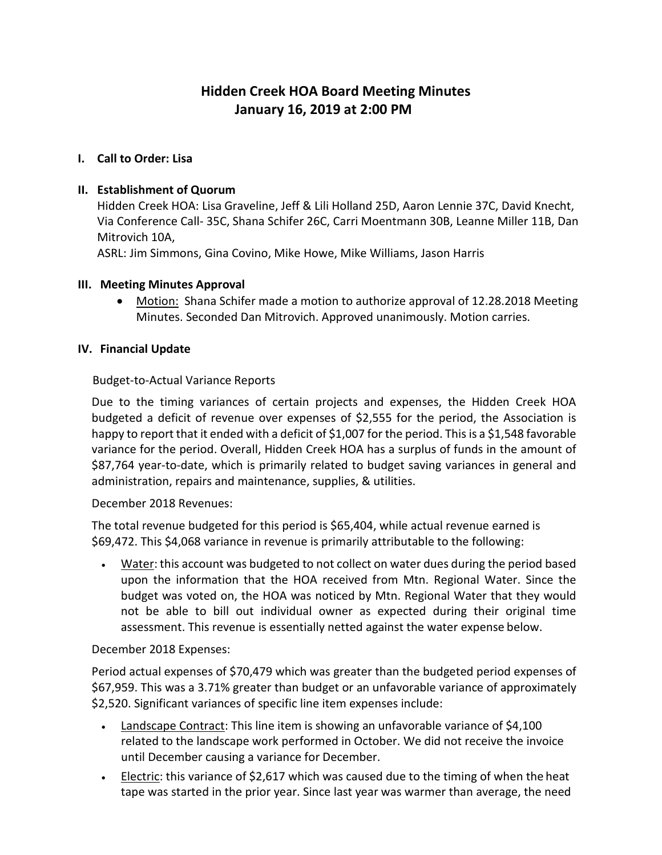# **Hidden Creek HOA Board Meeting Minutes January 16, 2019 at 2:00 PM**

### **I. Call to Order: Lisa**

### **II. Establishment of Quorum**

Hidden Creek HOA: Lisa Graveline, Jeff & Lili Holland 25D, Aaron Lennie 37C, David Knecht, Via Conference Call- 35C, Shana Schifer 26C, Carri Moentmann 30B, Leanne Miller 11B, Dan Mitrovich 10A,

ASRL: Jim Simmons, Gina Covino, Mike Howe, Mike Williams, Jason Harris

#### **III. Meeting Minutes Approval**

• Motion: Shana Schifer made a motion to authorize approval of 12.28.2018 Meeting Minutes. Seconded Dan Mitrovich. Approved unanimously. Motion carries.

#### **IV. Financial Update**

### Budget-to-Actual Variance Reports

Due to the timing variances of certain projects and expenses, the Hidden Creek HOA budgeted a deficit of revenue over expenses of \$2,555 for the period, the Association is happy to report that it ended with a deficit of \$1,007 for the period. This is a \$1,548 favorable variance for the period. Overall, Hidden Creek HOA has a surplus of funds in the amount of \$87,764 year-to-date, which is primarily related to budget saving variances in general and administration, repairs and maintenance, supplies, & utilities.

#### December 2018 Revenues:

The total revenue budgeted for this period is \$65,404, while actual revenue earned is \$69,472. This \$4,068 variance in revenue is primarily attributable to the following:

• Water: this account was budgeted to not collect on water dues during the period based upon the information that the HOA received from Mtn. Regional Water. Since the budget was voted on, the HOA was noticed by Mtn. Regional Water that they would not be able to bill out individual owner as expected during their original time assessment. This revenue is essentially netted against the water expense below.

#### December 2018 Expenses:

Period actual expenses of \$70,479 which was greater than the budgeted period expenses of \$67,959. This was a 3.71% greater than budget or an unfavorable variance of approximately \$2,520. Significant variances of specific line item expenses include:

- Landscape Contract: This line item is showing an unfavorable variance of \$4,100 related to the landscape work performed in October. We did not receive the invoice until December causing a variance for December.
- Electric: this variance of \$2,617 which was caused due to the timing of when the heat tape was started in the prior year. Since last year was warmer than average, the need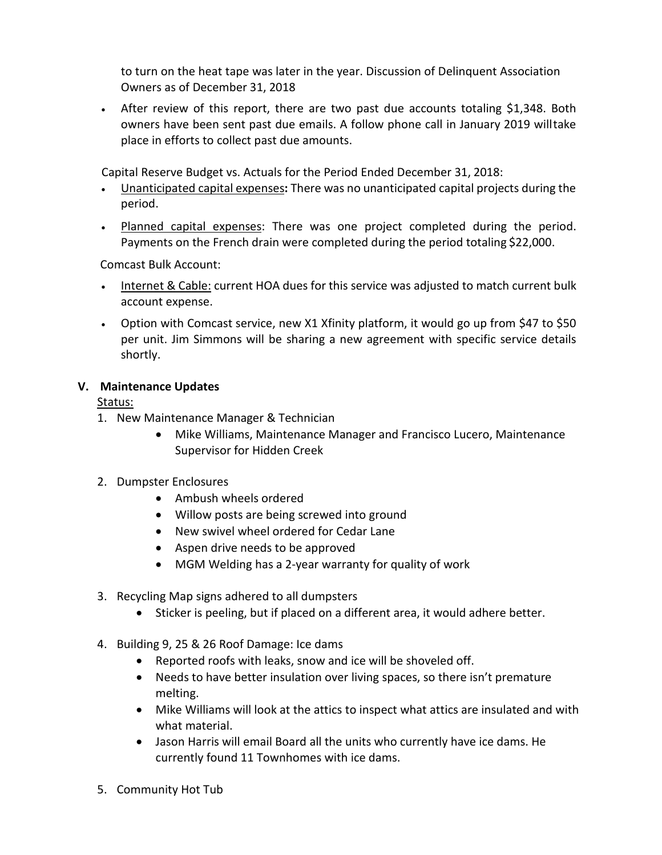to turn on the heat tape was later in the year. Discussion of Delinquent Association Owners as of December 31, 2018

• After review of this report, there are two past due accounts totaling \$1,348. Both owners have been sent past due emails. A follow phone call in January 2019 willtake place in efforts to collect past due amounts.

Capital Reserve Budget vs. Actuals for the Period Ended December 31, 2018:

- Unanticipated capital expenses**:** There was no unanticipated capital projects during the period.
- Planned capital expenses: There was one project completed during the period. Payments on the French drain were completed during the period totaling \$22,000.

Comcast Bulk Account:

- Internet & Cable: current HOA dues for this service was adjusted to match current bulk account expense.
- Option with Comcast service, new X1 Xfinity platform, it would go up from \$47 to \$50 per unit. Jim Simmons will be sharing a new agreement with specific service details shortly.

# **V. Maintenance Updates**

Status:

- 1. New Maintenance Manager & Technician
	- Mike Williams, Maintenance Manager and Francisco Lucero, Maintenance Supervisor for Hidden Creek
- 2. Dumpster Enclosures
	- Ambush wheels ordered
	- Willow posts are being screwed into ground
	- New swivel wheel ordered for Cedar Lane
	- Aspen drive needs to be approved
	- MGM Welding has a 2-year warranty for quality of work
- 3. Recycling Map signs adhered to all dumpsters
	- Sticker is peeling, but if placed on a different area, it would adhere better.
- 4. Building 9, 25 & 26 Roof Damage: Ice dams
	- Reported roofs with leaks, snow and ice will be shoveled off.
	- Needs to have better insulation over living spaces, so there isn't premature melting.
	- Mike Williams will look at the attics to inspect what attics are insulated and with what material.
	- Jason Harris will email Board all the units who currently have ice dams. He currently found 11 Townhomes with ice dams.
- 5. Community Hot Tub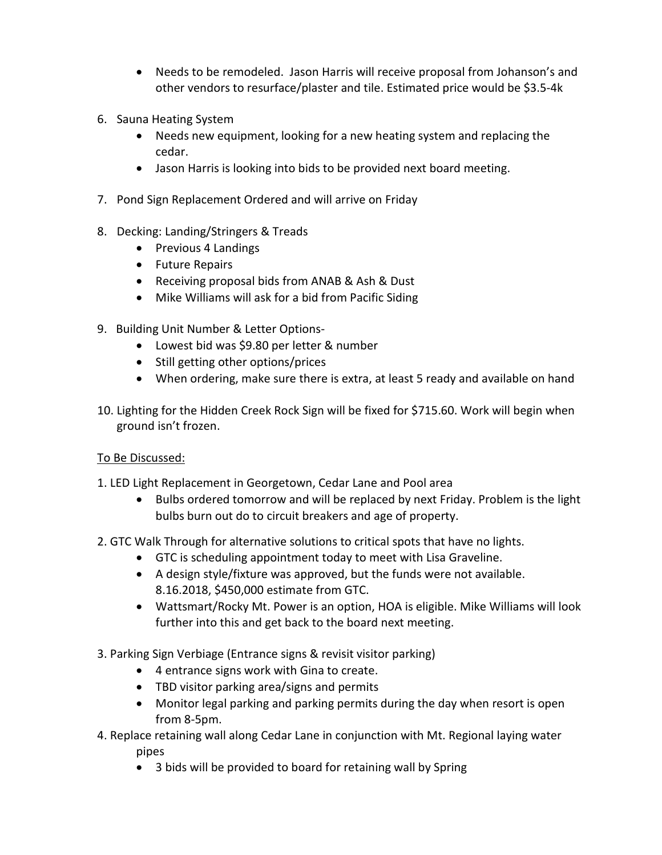- Needs to be remodeled. Jason Harris will receive proposal from Johanson's and other vendors to resurface/plaster and tile. Estimated price would be \$3.5-4k
- 6. Sauna Heating System
	- Needs new equipment, looking for a new heating system and replacing the cedar.
	- Jason Harris is looking into bids to be provided next board meeting.
- 7. Pond Sign Replacement Ordered and will arrive on Friday
- 8. Decking: Landing/Stringers & Treads
	- Previous 4 Landings
	- Future Repairs
	- Receiving proposal bids from ANAB & Ash & Dust
	- Mike Williams will ask for a bid from Pacific Siding
- 9. Building Unit Number & Letter Options-
	- Lowest bid was \$9.80 per letter & number
	- Still getting other options/prices
	- When ordering, make sure there is extra, at least 5 ready and available on hand
- 10. Lighting for the Hidden Creek Rock Sign will be fixed for \$715.60. Work will begin when ground isn't frozen.

# To Be Discussed:

- 1. LED Light Replacement in Georgetown, Cedar Lane and Pool area
	- Bulbs ordered tomorrow and will be replaced by next Friday. Problem is the light bulbs burn out do to circuit breakers and age of property.
- 2. GTC Walk Through for alternative solutions to critical spots that have no lights.
	- GTC is scheduling appointment today to meet with Lisa Graveline.
	- A design style/fixture was approved, but the funds were not available. 8.16.2018, \$450,000 estimate from GTC.
	- Wattsmart/Rocky Mt. Power is an option, HOA is eligible. Mike Williams will look further into this and get back to the board next meeting.
- 3. Parking Sign Verbiage (Entrance signs & revisit visitor parking)
	- 4 entrance signs work with Gina to create.
	- TBD visitor parking area/signs and permits
	- Monitor legal parking and parking permits during the day when resort is open from 8-5pm.
- 4. Replace retaining wall along Cedar Lane in conjunction with Mt. Regional laying water pipes
	- 3 bids will be provided to board for retaining wall by Spring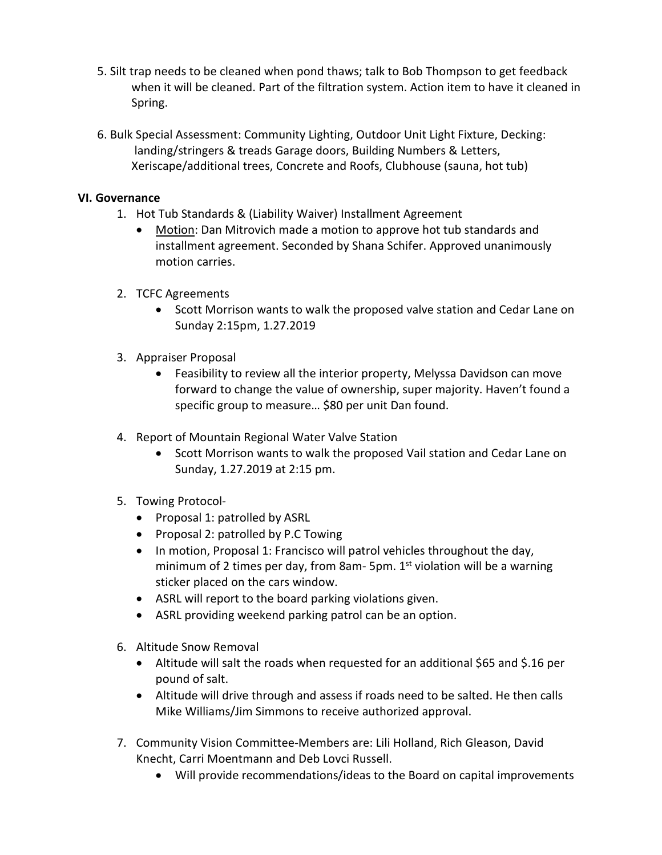- 5. Silt trap needs to be cleaned when pond thaws; talk to Bob Thompson to get feedback when it will be cleaned. Part of the filtration system. Action item to have it cleaned in Spring.
- 6. Bulk Special Assessment: Community Lighting, Outdoor Unit Light Fixture, Decking: landing/stringers & treads Garage doors, Building Numbers & Letters, Xeriscape/additional trees, Concrete and Roofs, Clubhouse (sauna, hot tub)

# **VI. Governance**

- 1. Hot Tub Standards & (Liability Waiver) Installment Agreement
	- Motion: Dan Mitrovich made a motion to approve hot tub standards and installment agreement. Seconded by Shana Schifer. Approved unanimously motion carries.
- 2. TCFC Agreements
	- Scott Morrison wants to walk the proposed valve station and Cedar Lane on Sunday 2:15pm, 1.27.2019
- 3. Appraiser Proposal
	- Feasibility to review all the interior property, Melyssa Davidson can move forward to change the value of ownership, super majority. Haven't found a specific group to measure… \$80 per unit Dan found.
- 4. Report of Mountain Regional Water Valve Station
	- Scott Morrison wants to walk the proposed Vail station and Cedar Lane on Sunday, 1.27.2019 at 2:15 pm.
- 5. Towing Protocol-
	- Proposal 1: patrolled by ASRL
	- Proposal 2: patrolled by P.C Towing
	- In motion, Proposal 1: Francisco will patrol vehicles throughout the day, minimum of 2 times per day, from 8am- 5pm.  $1<sup>st</sup>$  violation will be a warning sticker placed on the cars window.
	- ASRL will report to the board parking violations given.
	- ASRL providing weekend parking patrol can be an option.
- 6. Altitude Snow Removal
	- Altitude will salt the roads when requested for an additional \$65 and \$.16 per pound of salt.
	- Altitude will drive through and assess if roads need to be salted. He then calls Mike Williams/Jim Simmons to receive authorized approval.
- 7. Community Vision Committee-Members are: Lili Holland, Rich Gleason, David Knecht, Carri Moentmann and Deb Lovci Russell.
	- Will provide recommendations/ideas to the Board on capital improvements